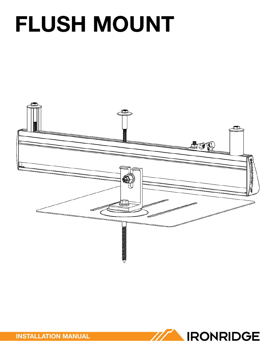# **FLUSH MOUNT**





**INSTALLATION MANUAL**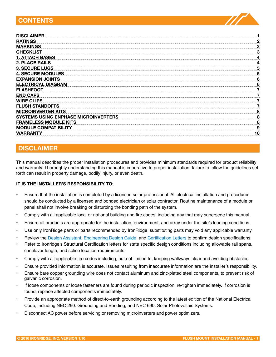## **CONTeNTS**

| <b>DISCLAIMER</b>                           |   |
|---------------------------------------------|---|
| <b>RATINGS</b>                              |   |
| <b>MARKINGS</b>                             |   |
| <b>CHECKLIST</b>                            |   |
| <u>1. ATTACH BASES</u>                      |   |
| <b>2. PLACE RAILS</b>                       |   |
| <b>3. SECURE LUGS</b>                       |   |
| <b>4. SECURE MODULES</b>                    |   |
| <b>EXPANSION JOINTS</b>                     |   |
| <b>ELECTRICAL DIAGRAM</b>                   |   |
| <b>FLASHFOOT</b>                            |   |
| <b>END CAPS</b>                             |   |
| <b>WIRE CLIPS</b>                           |   |
| <b>FLUSH STANDOFFS</b>                      |   |
| <b>MICROINVERTER KITS</b>                   |   |
| <b>SYSTEMS USING ENPHASE MICROINVERTERS</b> |   |
| <b>FRAMELESS MODULE KITS</b>                |   |
| <b>MODULE COMPATIBILITY</b>                 | Q |
| WARRANTY                                    |   |

# **DISCLAIMeR**

This manual describes the proper installation procedures and provides minimum standards required for product reliability and warranty. Thoroughly understanding this manual is imperative to proper installation; failure to follow the guidelines set forth can result in property damage, bodily injury, or even death.

#### **IT IS THe INSTALLeR'S ReSPONSIBILITY TO:**

- Ensure that the installation is completed by a licensed solar professional. All electrical installation and procedures should be conducted by a licensed and bonded electrician or solar contractor. Routine maintenance of a module or panel shall not involve breaking or disturbing the bonding path of the system.
- Comply with all applicable local or national building and fire codes, including any that may supersede this manual.
- Ensure all products are appropriate for the installation, environment, and array under the site's loading conditions.
- Use only IronRidge parts or parts recommended by IronRidge; substituting parts may void any applicable warranty.
- Review the [Design Assistant](http://ironridge.com/design), [Engineering Design Guide](http://files.ironridge.com.s3.amazonaws.com/IronRidge_RM_EngineeringDesignGuide_2016.pdf), and [Certification Letters](http://www.ironridge.com/pitched-roof-mounting/resources) to confirm design specifications.
- Refer to Ironridge's Structural Certification letters for state specific design conditions including allowable rail spans, cantilever length, and splice location requirements.
- Comply with all applicable fire codes including, but not limited to, keeping walkways clear and avoiding obstacles
- Ensure provided information is accurate. Issues resulting from inaccurate information are the installer's responsibility.
- Ensure bare copper grounding wire does not contact aluminum and zinc-plated steel components, to prevent risk of galvanic corrosion.
- If loose components or loose fasteners are found during periodic inspection, re-tighten immediately. If corrosion is found, replace affected components immediately.
- Provide an appropriate method of direct-to-earth grounding according to the latest edition of the National Electrical Code, including NEC 250: Grounding and Bonding, and NEC 690: Solar Photovoltaic Systems.
- Disconnect AC power before servicing or removing microinverters and power optimizers.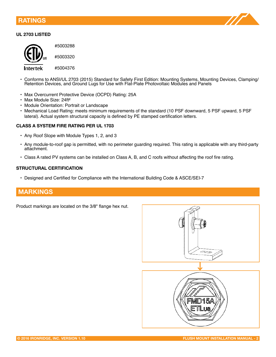### <span id="page-2-0"></span>**RATINGS**



#### **UL 2703 LISTeD**



#5003288

#5003320

#5004376 Intertek

- Conforms to ANSI/UL 2703 (2015) Standard for Safety First Edition: Mounting Systems, Mounting Devices, Clamping/ Retention Devices, and Ground Lugs for Use with Flat-Plate Photovoltaic Modules and Panels
- Max Overcurrent Protective Device (OCPD) Rating: 25A
- Max Module Size: 24ft²
- Module Orientation: Portrait or Landscape
- Mechanical Load Rating: meets minimum requirements of the standard (10 PSF downward, 5 PSF upward, 5 PSF lateral). Actual system structural capacity is defined by PE stamped certification letters.

#### **CLASS A SYSTeM FIRe RATING PeR UL 1703**

- Any Roof Slope with Module Types 1, 2, and 3
- Any module-to-roof gap is permitted, with no perimeter guarding required. This rating is applicable with any third-party attachment.
- Class A rated PV systems can be installed on Class A, B, and C roofs without affecting the roof fire rating.

#### **STRUCTURAL CeRTIFICATION**

• Designed and Certified for Compliance with the International Building Code & ASCE/SEI-7

## **MARKINGS**

Product markings are located on the 3/8" flange hex nut.

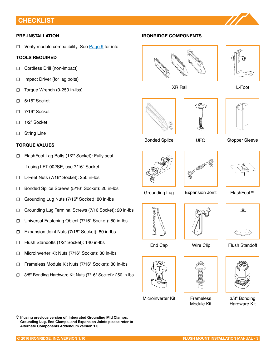## <span id="page-3-0"></span>**CHeCKLIST**

#### **PRe-INSTALLATION**

**☐** Verify module compatibility. See [Page 9](#page-9-0) for info.

#### **TOOLS ReQUIReD**

- **☐** Cordless Drill (non-impact)
- **☐** Impact Driver (for lag bolts)
- **☐** Torque Wrench (0-250 in-lbs)
- **☐** 5/16" Socket
- **☐** 7/16" Socket
- **☐** 1/2" Socket
- **☐** String Line

#### **TORQUe VALUeS**

- **☐** FlashFoot Lag Bolts (1/2" Socket): Fully seat If using LFT-002SE, use 7/16" Socket
- **☐** L-Feet Nuts (7/16" Socket): 250 in-lbs
- **☐** Bonded Splice Screws (5/16" Socket): 20 in-lbs
- **☐** Grounding Lug Nuts (7/16" Socket): 80 in-lbs
- **☐** Grounding Lug Terminal Screws (7/16 Socket): 20 in-lbs
- **☐** Universal Fastening Object (7/16" Socket): 80 in-lbs
- **☐** Expansion Joint Nuts (7/16" Socket): 80 in-lbs
- **☐** Flush Standoffs (1/2" Socket): 140 in-lbs
- ☐ Microinverter Kit Nuts (7/16" Socket): 80 in-lbs
- ☐ Frameless Module Kit Nuts (7/16" Socket): 80 in-lbs
- ☐ 3/8" Bonding Hardware Kit Nuts (7/16" Socket): 250 in-lbs

í **If using previous version of: Integrated Grounding Mid Clamps, Grounding Lug, End Clamps, and Expansion Joints please refer to Alternate Components Addendum version 1.0**







Bonded Splice **Stopper Sleeve** Stopper Sleeve







Grounding Lug Expansion Joint FlashFoot™





End Cap

**IRONRIDGE** 

Microinverter Kit



Frameless Module Kit



3/8" Bonding Hardware Kit





UFO







Wire Clip Flush Standoff





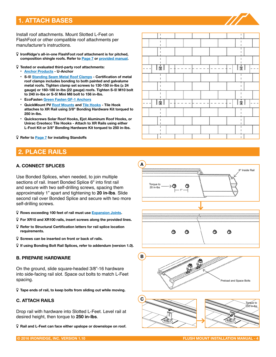# <span id="page-4-0"></span>**1. ATTACH BASeS**

Install roof attachments. Mount Slotted L-Feet on FlashFoot or other compatible roof attachments per manufacturer's instructions.

- í **IronRidge's all-in-one FlashFoot roof attachment is for pitched, composition shingle roofs. Refer to [Page 7](#page-7-0) or [provided manual](http://www.ironridge.com/files/flashfoot/IronRidge_FlashFoot_Installation_Manual.pdf).**
- í **Tested or evaluated third-party roof attachments: • [Anchor Products](http://www.anchorp.com/) - U-Anchor**
	- **[S-5! Standing Seam Metal Roof Clamps](http://www.s-5.com/clamps/index_415.cfm) - Certification of metal roof clamps includes bonding to both painted and galvalume metal roofs. Tighten clamp set screws to 130-150 in-lbs (≥ 24 gauge) or 160-180 in-lbs (22 gauge) roofs. Tighten S-5! M10 bolt to 240 in-lbs or S-5! Mini M8 bolt to 156 in-lbs.**
	- **[ecoFasten Green Fasten GF-1 Anchors](http://www.ecofastensolar.com/pdfs/GF1/GF1_ProductGuide_2_Install.pdf)**
	- **QuickMount PV Roof [Mounts](http://www.quickmountpv.com/downloads/datasheet/QMPV-datasheet-QMSE-EMount-web.pdf) and [Tile Hook](http://www.quickmountpv.com/downloads/datasheet/QMPV-datasheet-QMHSS-LS-QuickHookSM-web.pdf)s Tile Hook attaches to XR Rail using 3/8" Bonding Hardware Kit torqued to 250 in-lbs.**
	- **Quickscrews Solar Roof Hooks, ejot Aluminum Roof Hooks, or Unirac Creotecc Tile Hooks - Attach to XR Rails using either L-Foot Kit or 3/8" Bonding Hardware Kit torqued to 250 in-lbs.**

í **Refer to [Page 7](#page-7-0) for installing Standoffs**

## **2. PLACe RAILS**

#### **A. CONNeCT SPLICeS**

Use Bonded Splices, when needed, to join multiple sections of rail. Insert Bonded Splice 6" into first rail and secure with two self-drilling screws, spacing them approximately 1" apart and tightening to **20 in-lbs**. Slide second rail over Bonded Splice and secure with two more self-drilling screws.

- í **Rows exceeding 100 feet of rail must use [expansion Joints](#page-6-0).**
- í **For XR10 and XR100 rails, insert screws along the provided lines.**
- í **Refer to Structural Certification letters for rail splice location requirements.**
- í **Screws can be inserted on front or back of rails.**
- í **If using Bonding Bolt Rail Splices, refer to addendum (version 1.0).**

#### **B. PRePARe HARDWARe**

On the ground, slide square-headed 3/8"-16 hardware into side-facing rail slot. Space out bolts to match L-Feet spacing.

í **Tape ends of rail, to keep bolts from sliding out while moving.**

#### **C. ATTACH RAILS**

Drop rail with hardware into Slotted L-Feet. Level rail at desired height, then torque to **250 in-lbs**.

í **Rail and L-Feet can face either upslope or downslope on roof.**



Inside Rail Torque to 20 in-lbs 1"⋒ ⋒ Q ଷ

**A**



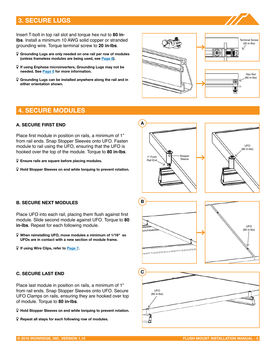# <span id="page-5-0"></span>**3. SeCURe LUGS**

Insert T-bolt in top rail slot and torque hex nut to **80 inlbs**. Install a minimum 10 AWG solid copper or stranded grounding wire. Torque terminal screw to **20 in-lbs**.

- í **Grounding Lugs are only needed on one rail per row of modules (unless frameless modules are being used, see [Page 8](#page-8-0)).**
- í **If using enphase microinverters, Grounding Lugs may not be needed. See [Page 8](#page-8-0) for more information.**
- í **Grounding Lugs can be installed anywhere along the rail and in either orientation shown.**



## **4. SeCURe MODULeS**

#### **A. SeCURe FIRST eND**

Place first module in position on rails, a minimum of 1" from rail ends. Snap Stopper Sleeves onto UFO. Fasten module to rail using the UFO, ensuring that the UFO is hooked over the top of the module. Torque to **80 in-lbs**.

í **ensure rails are square before placing modules.**

**in-lbs**. Repeat for each following module.

**B. SeCURe NeXT MODULeS**

í **If using Wire Clips, refer to [Page 7](#page-7-0).**

**C. SeCURe LAST eND**

í **Hold Stopper Sleeves on end while torquing to prevent rotation.**

Place UFO into each rail, placing them flush against first

í **When reinstalling UFO, move modules a minimum of 1/16" so UFOs are in contact with a new section of module frame.**

Place last module in position on rails, a minimum of 1" from rail ends. Snap Stopper Sleeves onto UFO. Secure

í **Repeat all steps for each following row of modules.**



of module. Torque to **80 in-lbs**.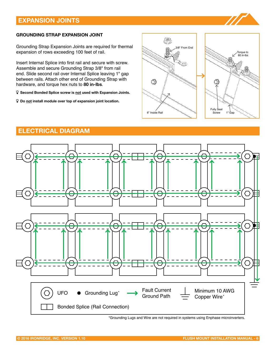# <span id="page-6-0"></span>**eXPANSION JOINTS**

#### **GROUNDING STRAP eXPANSION JOINT**

Grounding Strap Expansion Joints are required for thermal expansion of rows exceeding 100 feet of rail.

Insert Internal Splice into first rail and secure with screw. Assemble and secure Grounding Strap 3/8" from rail end. Slide second rail over Internal Splice leaving 1" gap between rails. Attach other end of Grounding Strap with hardware, and torque hex nuts to **80 in-lbs**.

í **Second Bonded Splice screw is not used with expansion Joints.**

í **Do not install module over top of expansion joint location.**





## **eLeCTRICAL DIAGRAM**



<sup>\*</sup>Grounding Lugs and Wire are not required in systems using Enphase microinverters.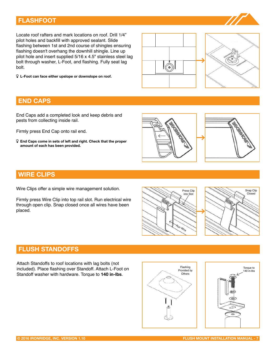## <span id="page-7-0"></span>**FLASHFOOT**

Locate roof rafters and mark locations on roof. Drill 1/4" pilot holes and backfill with approved sealant. Slide flashing between 1st and 2nd course of shingles ensuring flashing doesn't overhang the downhill shingle. Line up pilot hole and insert supplied 5/16 x 4.5" stainless steel lag bolt through washer, L-Foot, and flashing. Fully seat lag bolt.

í **L-Foot can face either upslope or downslope on roof.**





## **eND CAPS**

End Caps add a completed look and keep debris and pests from collecting inside rail.

Firmly press End Cap onto rail end.

í **end Caps come in sets of left and right. Check that the proper amount of each has been provided.**





## **WIRe CLIPS**

Wire Clips offer a simple wire management solution.

Firmly press Wire Clip into top rail slot. Run electrical wire through open clip. Snap closed once all wires have been placed.





## **FLUSH STANDOFFS**

Attach Standoffs to roof locations with lag bolts (not included). Place flashing over Standoff. Attach L-Foot on Standoff washer with hardware. Torque to **140 in-lbs**.



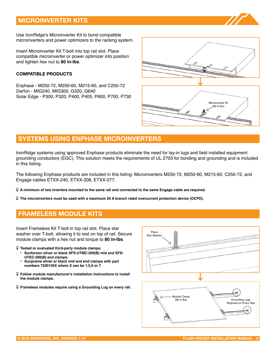# <span id="page-8-0"></span>**MICROINVeRTeR KITS**

Use IronRidge's Microinverter Kit to bond compatible microinverters and power optimizers to the racking system.

Insert Microinverter Kit T-bolt into top rail slot. Place compatible microinverter or power optimizer into position and tighten hex nut to **80 in-lbs**.

#### **COMPATIBLe PRODUCTS**

Enphase - M250-72, M250-60, M215-60, and C250-72 Darfon - MIG240, MIG300, G320, G640 Solar Edge - P300, P320, P400, P405, P600, P700, P730



## **SYSTeMS USING eNPHASe MICROINVeRTeRS**

IronRidge systems using approved Enphase products eliminate the need for lay-in lugs and field installed equipment grounding conductors (EGC). This solution meets the requirements of UL 2703 for bonding and grounding and is included in this listing.

The following Enphase products are included in this listing: Microinverters M250-72, M250-60, M215-60, C250-72, and Engage cables ETXX-240, ETXX-208, ETXX-277.

- í **A minimum of two inverters mounted to the same rail and connected to the same Engage cable are required.**
- í **The microinverters must be used with a maximum 20 A branch rated overcurrent protection device (OCPD).**

# **FRAMeLeSS MODULe KITS**

Insert Frameless Kit T-bolt in top rail slot. Place star washer over T-bolt, allowing it to rest on top of rail. Secure module clamps with a hex nut and torque to **80 in-lbs**.

- í **Tested or evaluated third-party module clamps:** 
	- **Sunforson silver or black SFS-UTMC-200(B) mid and SFS-UTEC-200(B) end clamps.**
	- **Sunpreme silver or black mid and end clamps with part numbers 7500105X where X can be 1,5,6 or 7**
- í **Follow module manufacturer's installation instructions to install the module clamps.**
- í **Frameless modules require using a Grounding Lug on every rail.**

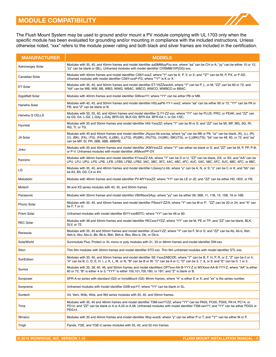<span id="page-9-0"></span>The Flush Mount System may be used to ground and/or mount a PV module complying with UL 1703 only when the specific module has been evaluated for grounding and/or mounting in compliance with the included instructions. Unless otherwise noted, "xxx" refers to the module power rating and both black and silver frames are included in the certification.

| <b>MANUFACTURER</b> | <b>MODELS</b>                                                                                                                                                                                                                                                                                                              |
|---------------------|----------------------------------------------------------------------------------------------------------------------------------------------------------------------------------------------------------------------------------------------------------------------------------------------------------------------------|
| Astronergey Solar   | Modules with 35, 40, and 45mm frames and model identifier aaSM66yyPzz-xxx; where "aa" can be CH or A; "yy" can be either 10 or 12;<br>"zz" can be blank or (BL). Unframed modules with model identifier CHSM6610P(DG)-xxx.                                                                                                 |
| Canadian Solar      | Modules with 40mm frames and model identififer CS6Y-xxxZ; where "Y" can be K, P, V, or X; and ""Z"" can be M, P, PX, or P-SD.<br>Uframed modules with model identifier CS6Y-xxxP-FG; where ""Y"" is K or X.                                                                                                                |
| ET Solar            | Modules with 35, 40, and 50mm frames and model identifier ET-Y6ZZxxxAA; where "Y" can be P, L, or M; "ZZ" can be 60 or 72; and<br>"AA" can be WB, WW, BB, WBG, WWG, WBAC, WBCO, WWCO, WWBCO or BBAC.                                                                                                                       |
| GigaWatt Solar      | Modules with 40mm frames and model identifier GWxxxYY; where "YY" can be either PB or MB.                                                                                                                                                                                                                                  |
| Hanwha Solar        | Modules with 40, 45, and 50mm frames and model identifier HSLaaP6-YY-1-xxxZ; where "aa" can be either 60 or 72; "YY" can be PA or<br>PB; and "Z" can be blank or B.                                                                                                                                                        |
| Hanwha Q CELLS      | Modules with 32, 35, 40, and 42mm frames and model identifier Q.YY-ZZ-xxx; where "YY" can be PLUS, PRO, or PEAK; and "ZZ" can<br>be G3, G4, L-G2, L-G3y, L-G4y, BFR-G3, BLK-G3, BFR-G4, BFR-G4.1, or G4.1/SC.                                                                                                              |
| Hyundai             | Modules with 35 and 50mm frames and model identifier HiS-YxxxZZ; where "Y" can be M or S; and "ZZ" can be MI, MF, MG, SG, RI,<br>RG, TI, or TG.                                                                                                                                                                            |
| JA Solar            | Modules with 40 and 45mm frames and model identifier JAyyzz-bb-xxx/aa; where "yy" can be M6 or P6; "zz" can be blank, (K), (L), (R),<br>(V), (BK), (FA), (TG), (FA)(R), (L)(BK), (L)(TG), (R)(BK), (R)(TG), (V)(BK), (BK)(TG), or (L)(BK)(TG); "bb" can be 48, 60, or 72; and "aa"<br>can be MP, SI, PR, 3BB, 4BB, 4BB/RE. |
| Jinko               | Modules with 35 and 40mm frames and model identifier JKMYxxxZZ; where "Y" can either be blank or S; and "ZZ" can be M, P, PP, P-B,<br>or P-V. Unframed modules with model identifier JKMxxxPP-DV.                                                                                                                          |
| Kyocera             | Modules with 46mm frames and model identifier KYxxxZZ-AA; where "Y" can be D or U; "ZZ" can be blank, GX, or SX; and "AA" can be<br>LPU, LFU, UPU, LPS, LPB, ,LFB, LFBS, LFB2, LPB2, 3AC, 3BC, 3FC, 4AC, 4BC, 4FC, 4UC, 5AC, 5BC, 5FC, 5UC, 6BC, 6FC, or 8BC.                                                              |
| LG                  | Modules with 35, 40, and 46mm frames and model identifier LGxxxy1z-bb; where "y" can be A, N, or S; "z" can be C or K; and "bb" can<br>be A3, B3, G3, C4 or K4.                                                                                                                                                            |
| Mistubishi          | Modules with 46mm frames and model identifier PV-MYYxxxZZ; where "YY" can be LE or JE; and "ZZ" can be either HD, HD2, or FB.                                                                                                                                                                                              |
| Motech              | IM and XS series modules with 40, 45, and 50mm frames.                                                                                                                                                                                                                                                                     |
| Panasonic           | Modules with 35mm frames and model identifier VBHNxxxSAyy; where "yy" can be either 06, 06B, 11, 11B, 15, 15B, 16 or 16B.                                                                                                                                                                                                  |
| Phono Solar         | Modules with 35, 40, and 45mm frames and model identifier PSxxxY-ZZ/A; where "Y" can be M or P; "ZZ" can be 20 or 24; and "A" can<br>be F, T or U.                                                                                                                                                                         |
| Prism Solar         | Unframed modules with model identifier BiYY-xxxBSTC; where "YY" can be 48 or 60.                                                                                                                                                                                                                                           |
| <b>REC Solar</b>    | Modules with 38 and 45mm frames and model identifier RECxxxYYZZ; where "YY" can be M, PE or TP; and "ZZ" can be blank, BLK,<br>SLV, or 72.                                                                                                                                                                                 |
| Renesola            | Modules with 35, 40 and 50mm frames and model identifier JCxxxY-ZZ; where "Y" can be F, M or S; and "ZZ" can be Ab, Ab-b, Abh,<br>Abh-b, Abv, Abv-b, Bb, Bb-b, Bbh, Bbh-b, Bbv, Bbv-b, Db, or Db-b.                                                                                                                        |
| <b>SolarWorld</b>   | Sunmodule Plus, Protect or XL mono or poly modules with 31, 33 or 46mm frames and model identifier SW-xxx.                                                                                                                                                                                                                 |
| Stion               | Thin film modules with 35mm frames and model identifier STO-xxx. Thin film unframed modules with model identifier STL-xxx.                                                                                                                                                                                                 |
| SunEdison           | Modules with 35, 40, and 50mm frames and model identifier SE-YxxxZABCDE; where "Y" can be B, F, H, P, R, or Z; "Z" can be 0 or 4;<br>"A" can be B, C, D, E, H, I, J, K, L, M, or N; "B" can be B or W; "C" can be A or C; "D" can be 3, 7, 8, or 9; and "E" can be 0, 1 or 2.                                              |
| Suniva              | Modules with 35, 38, 40, 46, and 50mm frames and model identifiers OPTxxx-AA-B-YYY-Z or MVXxxx-AA-B-YYY-Z; where "AA" is either<br>60 or 72; "B" is either 4 or 5; "YYY" is either 100,101,700,1B0, or 1B1; and "Z" is blank or B.                                                                                         |
| Sunpower            | SPR-A-xx series with standard (G3) or InvisiMount (G5) 46mm frames; where "A" is either E or X; and "xx" is the series number.                                                                                                                                                                                             |
| Sunpreme            | Unframed modules with model identifier GXB-xxxYY; where "YY" can be blank or SL.                                                                                                                                                                                                                                           |
| Suntech             | Vd, Vem, Wdb, Wde, and Wd series modules with 35, 40, and 50mm frames.                                                                                                                                                                                                                                                     |
| Trina               | Modules with 35, 40 and 46mm frames and model identifier TSM-xxxYYZZ; where "YY" can be PA05, PC05, PD05, PA14, PC14, or<br>PD14; and "ZZ" can be blank or A or A.05 or A.08. Unframed modules with model identifier TSM-xxxYY; and "YY" can be either PDG5 or<br>PEG14.                                                   |
| Winaico             | Modules with 35 and 40mm frames and model identifier Wsy-xxxz6; where "y" can be either P or T; and ""z"" can be either M or P.                                                                                                                                                                                            |
| Yingli              | Panda, YGE, and YGE-U series modules with 35, 40, and 50 mm frames.                                                                                                                                                                                                                                                        |